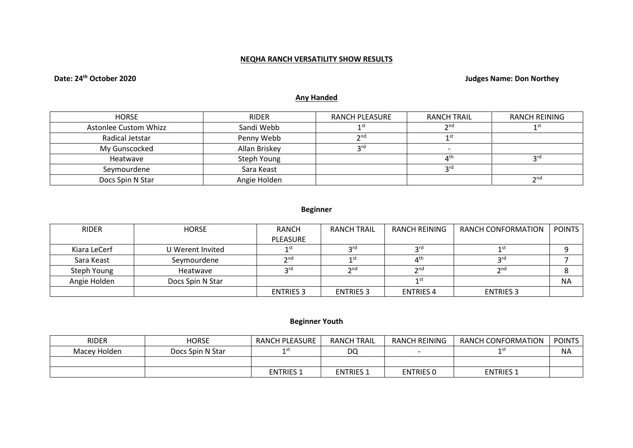## **NEQHA RANCH VERSATILITY SHOW RESULTS**

# **Date: 24th October 2020 Judges Name: Don Northey**

## **Any Handed**

| <b>HORSE</b>                 | <b>RIDER</b>  | RANCH PLEASURE | <b>RANCH TRAIL</b>             | <b>RANCH REINING</b>                                                                              |
|------------------------------|---------------|----------------|--------------------------------|---------------------------------------------------------------------------------------------------|
| <b>Astonlee Custom Whizz</b> | Sandi Webb    |                | $\mathbf{a}$ nc                | 1 ST                                                                                              |
| Radical Jetstar              | Penny Webb    | 2nC            |                                |                                                                                                   |
| My Gunscocked                | Allan Briskey | ord            |                                |                                                                                                   |
| Heatwave                     | Steph Young   |                | $\mathbf{\Lambda}^{\text{th}}$ | <b>2rd</b>                                                                                        |
| Seymourdene                  | Sara Keast    |                | rd د                           |                                                                                                   |
| Docs Spin N Star             | Angie Holden  |                |                                | $\mathsf{\small \mathsf{\small \mathsf{\small \mathsf{\small \mathsf{\small \mathsf{\tiny{}}}}}}$ |

## **Beginner**

| <b>RIDER</b> | <b>HORSE</b>     | <b>RANCH</b>      | <b>RANCH TRAIL</b> | RANCH REINING    | <b>RANCH CONFORMATION</b> | <b>POINTS</b> |
|--------------|------------------|-------------------|--------------------|------------------|---------------------------|---------------|
|              |                  | PLEASURE          |                    |                  |                           |               |
| Kiara LeCerf | U Werent Invited | 1 st              | 2rd                | ord              | 1 st                      |               |
| Sara Keast   | Seymourdene      | $\mathbf{\infty}$ | 1 <sub>st</sub>    | $\Lambda$ th     | ord                       |               |
| Steph Young  | Heatwave         | <b>prd</b>        | 2 <sub>nd</sub>    | 2 <sub>nd</sub>  | $\mathbf{\Im}$ nd         |               |
| Angie Holden | Docs Spin N Star |                   |                    |                  |                           | <b>NA</b>     |
|              |                  | <b>ENTRIES 3</b>  | <b>ENTRIES 3</b>   | <b>ENTRIES 4</b> | <b>ENTRIES 3</b>          |               |

## **Beginner Youth**

| <b>RIDER</b> | HORSE            | <b>RANCH PLEASURE</b> | <b>RANCH TRAIL</b> | <b>RANCH REINING</b> | RANCH CONFORMATION | <b>POINTS</b> |
|--------------|------------------|-----------------------|--------------------|----------------------|--------------------|---------------|
| Macey Holden | Docs Spin N Star |                       | DQ                 |                      |                    | <b>NA</b>     |
|              |                  |                       |                    |                      |                    |               |
|              |                  | <b>ENTRIES 1</b>      | <b>ENTRIES 1</b>   | <b>ENTRIES 0</b>     | <b>ENTRIES 1</b>   |               |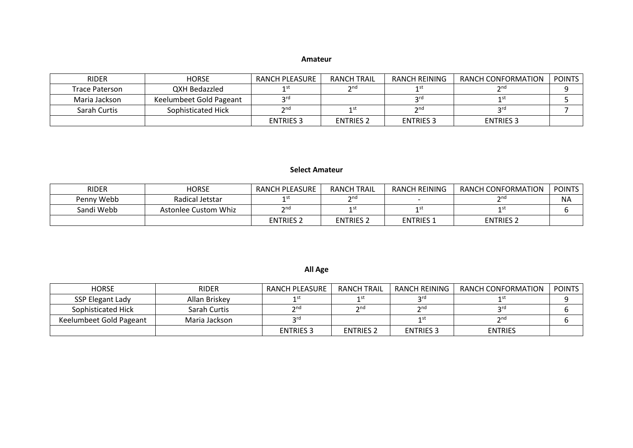#### **Amateur**

| <b>RIDER</b>   | <b>HORSE</b>            | RANCH PLEASURE    | <b>RANCH TRAIL</b> | RANCH REINING                                                                                      | RANCH CONFORMATION | <b>POINTS</b> |
|----------------|-------------------------|-------------------|--------------------|----------------------------------------------------------------------------------------------------|--------------------|---------------|
| Trace Paterson | QXH Bedazzled           |                   | $\gamma$ nd        |                                                                                                    | $2n$ d             |               |
| Maria Jackson  | Keelumbeet Gold Pageant | ord               |                    | 2rd                                                                                                |                    |               |
| Sarah Curtis   | Sophisticated Hick      | $\mathbf{\Omega}$ | 1 st               | $\mathsf{\small \mathsf{\small \mathsf{\small \mathsf{\small \mathsf{\small \mathsf{\tiny{}}}}}}}$ | ord                |               |
|                |                         | <b>ENTRIES 3</b>  | <b>ENTRIES 2</b>   | <b>ENTRIES 3</b>                                                                                   | <b>ENTRIES 3</b>   |               |

#### **Select Amateur**

| <b>RIDER</b> | <b>HORSE</b>         | RANCH PLEASURE   | <b>RANCH TRAIL</b> | RANCH REINING                           | RANCH CONFORMATION | <b>POINTS</b> |
|--------------|----------------------|------------------|--------------------|-----------------------------------------|--------------------|---------------|
| Penny Webb   | Radical Jetstar      |                  | $\mathbf{\Omega}$  |                                         | $\mathsf{p}$ nd    | <b>NA</b>     |
| Sandi Webb   | Astonlee Custom Whiz | $\mathcal{D}$ no | ี 1 Sโ             | ⊿ <t< td=""><td>1 Sl</td><td></td></t<> | 1 Sl               |               |
|              |                      | <b>ENTRIES 2</b> | <b>ENTRIES 2</b>   | <b>ENTRIES 1</b>                        | <b>ENTRIES 2</b>   |               |

## **All Age**

| <b>HORSE</b>            | <b>RIDER</b>  | RANCH PLEASURE   | <b>RANCH TRAIL</b> | <b>RANCH REINING</b> | RANCH CONFORMATION | <b>POINTS</b> |
|-------------------------|---------------|------------------|--------------------|----------------------|--------------------|---------------|
| SSP Elegant Lady        | Allan Briskey |                  |                    | ord                  |                    |               |
| Sophisticated Hick      | Sarah Curtis  | $\mathbf{a}$     | $\n  n$            | $\mathbf{\sim}$ nd   | ኃrd                |               |
| Keelumbeet Gold Pageant | Maria Jackson | $\mathsf{C}$     |                    | 1 St                 | $\mathbf{\sim}$ nd |               |
|                         |               | <b>ENTRIES 3</b> | <b>ENTRIES 2</b>   | <b>ENTRIES 3</b>     | ENTRIES            |               |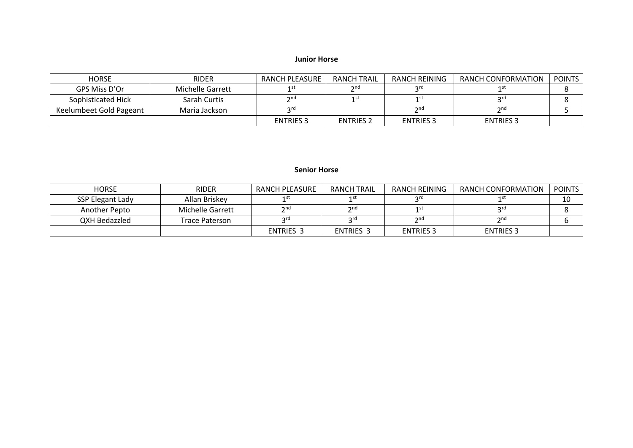#### **Junior Horse**

| <b>HORSE</b>            | <b>RIDER</b>     | RANCH PLEASURE   | <b>RANCH TRAIL</b> | RANCH REINING    | RANCH CONFORMATION | <b>POINTS</b> |
|-------------------------|------------------|------------------|--------------------|------------------|--------------------|---------------|
| GPS Miss D'Or           | Michelle Garrett |                  | $\mathbf{\Omega}$  | ာrd              |                    |               |
| Sophisticated Hick      | Sarah Curtis     | $\gamma$ nd      |                    |                  | ord                |               |
| Keelumbeet Gold Pageant | Maria Jackson    | ord              |                    | 2n <sub>0</sub>  | 2 <sub>nd</sub>    |               |
|                         |                  | <b>ENTRIES 3</b> | <b>ENTRIES 2</b>   | <b>ENTRIES 3</b> | <b>ENTRIES 3</b>   |               |

#### **Senior Horse**

| <b>HORSE</b>     | <b>RIDER</b>     | RANCH PLEASURE            | <b>RANCH TRAIL</b> | RANCH REINING    | <b>RANCH CONFORMATION</b> | <b>POINTS</b> |
|------------------|------------------|---------------------------|--------------------|------------------|---------------------------|---------------|
| SSP Elegant Lady | Allan Briskey    |                           | 1 st               | <b>prd</b>       |                           | 10            |
| Another Pepto    | Michelle Garrett | $\mathsf{\small \neg}$ nd | 2 <sub>nd</sub>    | 1 st             | ord                       |               |
| QXH Bedazzled    | Trace Paterson   | ord                       | <b>2rd</b>         | 2 <sub>nd</sub>  | 2nd                       |               |
|                  |                  | <b>ENTRIES 3</b>          | <b>ENTRIES 3</b>   | <b>ENTRIES 3</b> | <b>ENTRIES 3</b>          |               |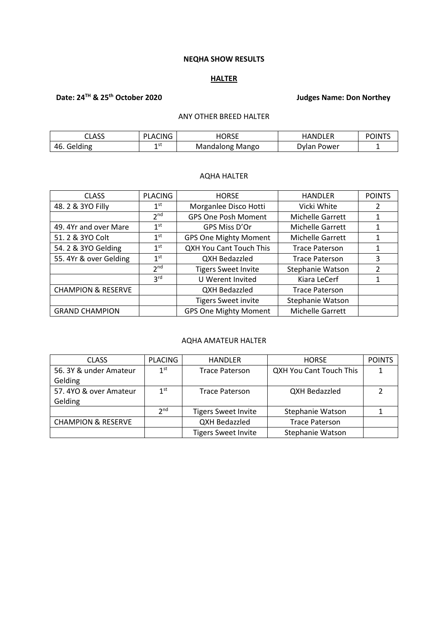#### **NEQHA SHOW RESULTS**

## **HALTER**

# **Date: 24TH & 25th October 2020 Judges Name: Don Northey**

## ANY OTHER BREED HALTER

| CLASS          | 'LACING<br><b>D</b> | <b>HUBCE</b><br>ொட | <b>FR</b><br><b>IUN</b><br>HANI | <b>POINT'</b> |
|----------------|---------------------|--------------------|---------------------------------|---------------|
| Gelding<br>46. | 1 S L               | Mango<br>Mandalong | . Power<br>Jylan.               |               |

#### AQHA HALTER

| <b>CLASS</b>                  | <b>PLACING</b>  | <b>HORSE</b>                   | <b>HANDLER</b>        | <b>POINTS</b> |
|-------------------------------|-----------------|--------------------------------|-----------------------|---------------|
| 48.2 & 3YO Filly              | $1^{\rm st}$    | Morganlee Disco Hotti          | Vicki White           | 2             |
|                               | 2 <sub>nd</sub> | <b>GPS One Posh Moment</b>     | Michelle Garrett      |               |
| 49. 4Yr and over Mare         | 1 <sup>st</sup> | GPS Miss D'Or                  | Michelle Garrett      | 1             |
| 51.2 & 3YO Colt               | $1^{\rm st}$    | <b>GPS One Mighty Moment</b>   | Michelle Garrett      | $\mathbf{1}$  |
| 54. 2 & 3YO Gelding           | 1 <sup>st</sup> | <b>QXH You Cant Touch This</b> | <b>Trace Paterson</b> | 1             |
| 55. 4Yr & over Gelding        | 1 <sup>st</sup> | QXH Bedazzled                  | <b>Trace Paterson</b> | 3             |
|                               | 2 <sub>nd</sub> | <b>Tigers Sweet Invite</b>     | Stephanie Watson      | 2             |
|                               | 3 <sup>rd</sup> | U Werent Invited               | Kiara LeCerf          |               |
| <b>CHAMPION &amp; RESERVE</b> |                 | QXH Bedazzled                  | <b>Trace Paterson</b> |               |
|                               |                 | <b>Tigers Sweet invite</b>     | Stephanie Watson      |               |
| <b>GRAND CHAMPION</b>         |                 | <b>GPS One Mighty Moment</b>   | Michelle Garrett      |               |

#### AQHA AMATEUR HALTER

| <b>CLASS</b>                  | <b>PLACING</b>  | <b>HANDLER</b>             | <b>HORSE</b>            | <b>POINTS</b> |
|-------------------------------|-----------------|----------------------------|-------------------------|---------------|
| 56. 3Y & under Amateur        | 1 <sup>st</sup> | <b>Trace Paterson</b>      | QXH You Cant Touch This |               |
| Gelding                       |                 |                            |                         |               |
| 57.4YO & over Amateur         | 1 <sup>st</sup> | <b>Trace Paterson</b>      | QXH Bedazzled           |               |
| Gelding                       |                 |                            |                         |               |
|                               | 2 <sub>nd</sub> | <b>Tigers Sweet Invite</b> | Stephanie Watson        |               |
| <b>CHAMPION &amp; RESERVE</b> |                 | QXH Bedazzled              | <b>Trace Paterson</b>   |               |
|                               |                 | <b>Tigers Sweet Invite</b> | Stephanie Watson        |               |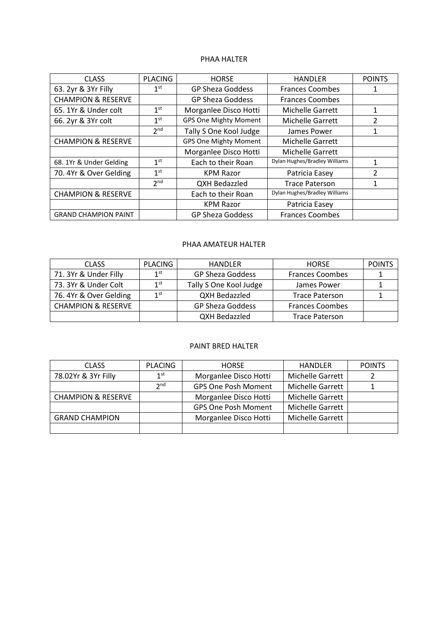#### PHAA HALTER

| <b>CLASS</b>                  | <b>PLACING</b>  | <b>HORSE</b>                 | <b>HANDLER</b>                | <b>POINTS</b>  |
|-------------------------------|-----------------|------------------------------|-------------------------------|----------------|
| 63. 2yr & 3Yr Filly           | 1 <sup>st</sup> | <b>GP Sheza Goddess</b>      | <b>Frances Coombes</b>        | 1              |
| <b>CHAMPION &amp; RESERVE</b> |                 | <b>GP Sheza Goddess</b>      | <b>Frances Coombes</b>        |                |
| 65.1Yr & Under colt           | 1 <sup>st</sup> | Morganlee Disco Hotti        | <b>Michelle Garrett</b>       | 1              |
| 66. 2yr & 3Yr colt            | 1 <sup>st</sup> | <b>GPS One Mighty Moment</b> | <b>Michelle Garrett</b>       | $\overline{2}$ |
|                               | 2 <sub>nd</sub> | Tally S One Kool Judge       | James Power                   |                |
| <b>CHAMPION &amp; RESERVE</b> |                 | <b>GPS One Mighty Moment</b> | <b>Michelle Garrett</b>       |                |
|                               |                 | Morganlee Disco Hotti        | <b>Michelle Garrett</b>       |                |
| 68. 1Yr & Under Gelding       | 1 <sup>st</sup> | Each to their Roan           | Dylan Hughes/Bradley Williams |                |
| 70. 4Yr & Over Gelding        | 1 <sup>st</sup> | <b>KPM Razor</b>             | Patricia Easey                | $\mathfrak{p}$ |
|                               | 2 <sub>nd</sub> | <b>QXH Bedazzled</b>         | <b>Trace Paterson</b>         | 1              |
| <b>CHAMPION &amp; RESERVE</b> |                 | Each to their Roan           | Dylan Hughes/Bradley Williams |                |
|                               |                 | <b>KPM Razor</b>             | Patricia Easey                |                |
| <b>GRAND CHAMPION PAINT</b>   |                 | <b>GP Sheza Goddess</b>      | <b>Frances Coombes</b>        |                |

#### PHAA AMATEUR HALTER

| <b>CLASS</b>                  | <b>PLACING</b> | <b>HANDLER</b>          | <b>HORSE</b>           | <b>POINTS</b> |
|-------------------------------|----------------|-------------------------|------------------------|---------------|
| 71. 3Yr & Under Filly         | 1st            | <b>GP Sheza Goddess</b> | <b>Frances Coombes</b> |               |
| 73. 3Yr & Under Colt          | 1st            | Tally S One Kool Judge  | James Power            |               |
| 76.4Yr & Over Gelding         | 1st            | QXH Bedazzled           | <b>Trace Paterson</b>  |               |
| <b>CHAMPION &amp; RESERVE</b> |                | <b>GP Sheza Goddess</b> | <b>Frances Coombes</b> |               |
|                               |                | QXH Bedazzled           | <b>Trace Paterson</b>  |               |

#### PAINT BRED HALTER

| <b>CLASS</b>                  | <b>PLACING</b>  | <b>HORSE</b>               | <b>HANDLER</b>   | <b>POINTS</b> |
|-------------------------------|-----------------|----------------------------|------------------|---------------|
| 78.02Yr & 3Yr Filly           | 1 <sup>st</sup> | Morganlee Disco Hotti      | Michelle Garrett |               |
|                               | 2 <sub>nd</sub> | <b>GPS One Posh Moment</b> | Michelle Garrett |               |
| <b>CHAMPION &amp; RESERVE</b> |                 | Morganlee Disco Hotti      | Michelle Garrett |               |
|                               |                 | <b>GPS One Posh Moment</b> | Michelle Garrett |               |
| <b>GRAND CHAMPION</b>         |                 | Morganlee Disco Hotti      | Michelle Garrett |               |
|                               |                 |                            |                  |               |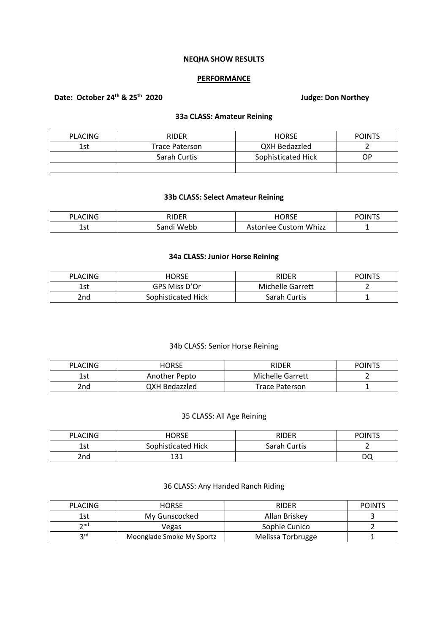#### **NEQHA SHOW RESULTS**

#### **PERFORMANCE**

# **Date: October 24th & 25th 2020 Judge: Don Northey**

#### **33a CLASS: Amateur Reining**

| <b>PLACING</b> | <b>RIDER</b>          | <b>HORSE</b>       | <b>POINTS</b> |
|----------------|-----------------------|--------------------|---------------|
| 1st            | <b>Trace Paterson</b> | QXH Bedazzled      |               |
|                | Sarah Curtis          | Sophisticated Hick | ОP            |
|                |                       |                    |               |

## **33b CLASS: Select Amateur Reining**

| ›LACING     | <b>DIDFD</b>   | INDEE                     | dints |
|-------------|----------------|---------------------------|-------|
| DГ          |                | .                         | DC    |
| l c+<br>ᆂᇰᄔ | Webb<br>sandi' | Whizz<br>ustom<br>stonlee |       |

#### **34a CLASS: Junior Horse Reining**

| <b>PLACING</b>  | HORSE              | RIDER                   | <b>POINTS</b> |
|-----------------|--------------------|-------------------------|---------------|
| 1st             | GPS Miss D'Or      | <b>Michelle Garrett</b> |               |
| 2 <sub>nd</sub> | Sophisticated Hick | Sarah Curtis            |               |

## 34b CLASS: Senior Horse Reining

| <b>PLACING</b> | <b>HORSE</b>         | <b>RIDER</b>          | <b>POINTS</b> |
|----------------|----------------------|-----------------------|---------------|
| 1st            | Another Pepto        | Michelle Garrett      |               |
| 2nd            | <b>QXH Bedazzled</b> | <b>Trace Paterson</b> |               |

## 35 CLASS: All Age Reining

| <b>PLACING</b> | <b>HORSE</b>       | RIDER        | <b>POINTS</b> |
|----------------|--------------------|--------------|---------------|
| 1 c t<br>エンし   | Sophisticated Hick | Sarah Curtis |               |
| 2nd            | و 1<br>ᆠᆦ          |              | DO            |

#### 36 CLASS: Any Handed Ranch Riding

| <b>PLACING</b>     | <b>HORSE</b>              | <b>RIDER</b>      | <b>POINTS</b> |
|--------------------|---------------------------|-------------------|---------------|
| 1st                | My Gunscocked             | Allan Briskev     |               |
| $\mathsf{\sim}$ nd | Vegas                     | Sophie Cunico     |               |
| ord                | Moonglade Smoke My Sportz | Melissa Torbrugge |               |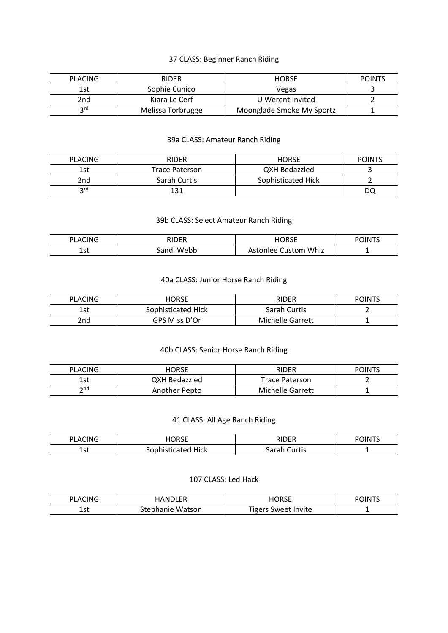## 37 CLASS: Beginner Ranch Riding

| <b>PLACING</b> | <b>RIDER</b>      | <b>HORSE</b>              | <b>POINTS</b> |
|----------------|-------------------|---------------------------|---------------|
| 1st            | Sophie Cunico     | Vegas                     |               |
| 2nd            | Kiara Le Cerf     | U Werent Invited          |               |
| ord            | Melissa Torbrugge | Moonglade Smoke My Sportz |               |

## 39a CLASS: Amateur Ranch Riding

| <b>PLACING</b> | <b>RIDER</b>          | <b>HORSE</b>       | <b>POINTS</b> |
|----------------|-----------------------|--------------------|---------------|
| 1st            | <b>Trace Paterson</b> | QXH Bedazzled      |               |
| 2nd            | Sarah Curtis          | Sophisticated Hick |               |
| <b>2rd</b>     | 131                   |                    | DC            |

## 39b CLASS: Select Amateur Ranch Riding

| CING<br>DI.<br>A' | 11.nr        | $I$ $O$ $D$ $C$ $F$<br>- רי | $\triangle$ $1N$ <sup>T</sup><br>- DC |
|-------------------|--------------|-----------------------------|---------------------------------------|
| $70 +$<br>ᅩつし     | Webb<br>andi | Whiz<br>ustom<br>lee        | -                                     |

## 40a CLASS: Junior Horse Ranch Riding

| <b>PLACING</b> | HORSE              | RIDER            | <b>POINTS</b> |
|----------------|--------------------|------------------|---------------|
| 1st            | Sophisticated Hick | Sarah Curtis     |               |
| 2nd            | GPS Miss D'Or      | Michelle Garrett |               |

#### 40b CLASS: Senior Horse Ranch Riding

| <b>PLACING</b> | HORSE         | RIDER                 | <b>POINTS</b> |
|----------------|---------------|-----------------------|---------------|
| 1 ct<br>ᅩコ     | QXH Bedazzled | <b>Trace Paterson</b> |               |
| ን nd           | Another Pepto | Michelle Garrett      |               |

## 41 CLASS: All Age Ranch Riding

| $\sim$<br>DΙ<br>١N١<br>A<br>∼ | <b>HORSE</b><br>ᢇ     | <b>DINED</b><br>--                   | POINT <sup>e</sup> |
|-------------------------------|-----------------------|--------------------------------------|--------------------|
| 1.4<br>຺⊥ວເ                   | Hick<br>cated<br>r 17 | $\sim$ non<br>Curtis<br>Jai<br>ا ۵۱. | -                  |

#### 107 CLASS: Led Hack

| <b>CING</b><br>DΙ<br>u Au | HANDI FR                  | iorse                      | <b>POINT'</b> |
|---------------------------|---------------------------|----------------------------|---------------|
| 1.4<br>ᅩఎ                 | Watson<br>nanie<br>-steph | <b>Tigers Sweet Invite</b> | -             |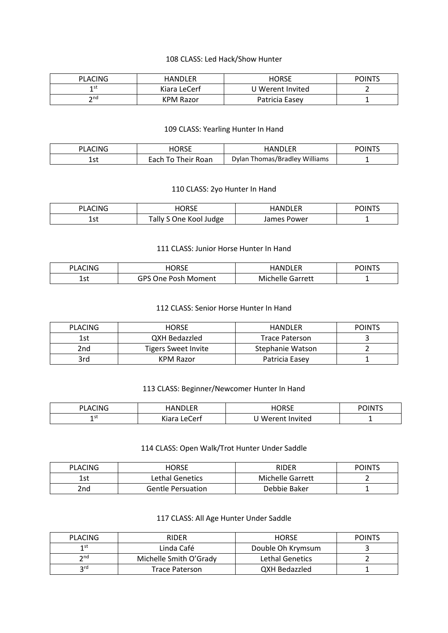#### 108 CLASS: Led Hack/Show Hunter

| <b>PLACING</b> | <b>HANDLER</b> | <b>HORSE</b>     | <b>POINTS</b> |
|----------------|----------------|------------------|---------------|
| 1 st           | Kiara LeCerf   | U Werent Invited |               |
| ንnd            | KPM Razor      | Patricia Easey   |               |

## 109 CLASS: Yearling Hunter In Hand

| PLACING   |                    | <b>HANDLER</b>                | רוחור ה |
|-----------|--------------------|-------------------------------|---------|
| ร~<br>ᅩᇰᇈ | Each To Their Roan | Dylan Thomas/Bradley Williams |         |

#### 110 CLASS: 2yo Hunter In Hand

| <b>CINC</b><br>PI A1 | <b>IORSE</b>              | ININI ED      | <b>POINT</b> |
|----------------------|---------------------------|---------------|--------------|
| 1. – 1<br>ᅩᇰᄔ        | ally<br>Kool Judge<br>)ne | Power<br>ames |              |

#### 111 CLASS: Junior Horse Hunter In Hand

| <b>CING</b><br>DΙ<br>A | $\mathcal{D}$ RSE                 |                            | <b>POINT<sup>c</sup></b> |
|------------------------|-----------------------------------|----------------------------|--------------------------|
| 1 ∼+<br>ᆦᄀ             | GPS<br>Posh<br>Moment<br>)ne<br>∼ | Garrett<br>– Mich<br>nelle |                          |

#### 112 CLASS: Senior Horse Hunter In Hand

| <b>PLACING</b> | <b>HORSE</b>               | HANDLER          | <b>POINTS</b> |
|----------------|----------------------------|------------------|---------------|
| 1st            | <b>QXH Bedazzled</b>       | Trace Paterson   |               |
| 2nd            | <b>Tigers Sweet Invite</b> | Stephanie Watson |               |
| 3rd            | KPM Razor                  | Patricia Easey   |               |

## 113 CLASS: Beginner/Newcomer Hunter In Hand

| ACING<br>DΙ | .∆NDI FP                       | 1∪b∠t<br>┓<br>ື | <b>POINTS</b> |
|-------------|--------------------------------|-----------------|---------------|
| ו כו        | $\cdot$<br>`ert<br>Vinre<br>01 | Werent Invited  | -             |

## 114 CLASS: Open Walk/Trot Hunter Under Saddle

| <b>PLACING</b> | HORSE                    | RIDER            | <b>POINTS</b> |
|----------------|--------------------------|------------------|---------------|
| 1st            | Lethal Genetics          | Michelle Garrett |               |
| 2nd            | <b>Gentle Persuation</b> | Debbie Baker     |               |

#### 117 CLASS: All Age Hunter Under Saddle

| <b>PLACING</b>  | <b>RIDER</b>           | <b>HORSE</b>      | <b>POINTS</b> |
|-----------------|------------------------|-------------------|---------------|
| 1 st            | Linda Café             | Double Oh Krymsum |               |
| $\mathsf{p}$ nd | Michelle Smith O'Grady | Lethal Genetics   |               |
| ord             | <b>Trace Paterson</b>  | QXH Bedazzled     |               |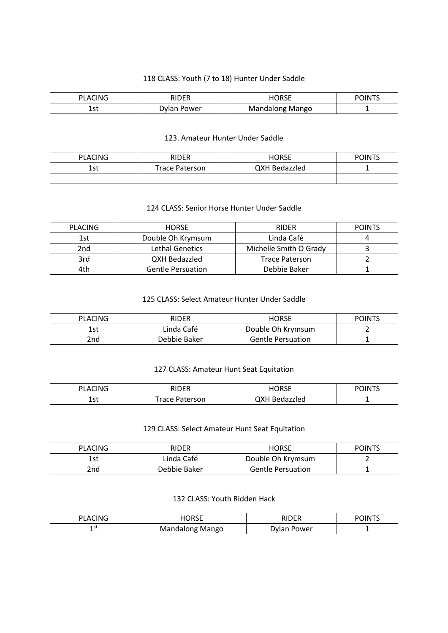## 118 CLASS: Youth (7 to 18) Hunter Under Saddle

| CING<br>PI A | <b>חמות</b><br>. н | I∩RSF<br>∟טושו          | <b>POINT<sup>r</sup></b> |
|--------------|--------------------|-------------------------|--------------------------|
| --<br>ᆂᇰᄔ    | Dvla<br>. Power    | Mango<br>long<br>Mandak |                          |

#### 123. Amateur Hunter Under Saddle

| <b>PLACING</b> | <b>RIDER</b>          | HORSE         | <b>POINTS</b> |
|----------------|-----------------------|---------------|---------------|
| 1 c t<br>ᅩコし   | <b>Trace Paterson</b> | QXH Bedazzled |               |
|                |                       |               |               |

## 124 CLASS: Senior Horse Hunter Under Saddle

| <b>PLACING</b> | <b>HORSE</b>             | <b>RIDER</b>           | <b>POINTS</b> |
|----------------|--------------------------|------------------------|---------------|
| 1st            | Double Oh Krymsum        | Linda Café             |               |
| 2nd            | <b>Lethal Genetics</b>   | Michelle Smith O Grady |               |
| 3rd            | <b>QXH Bedazzled</b>     | <b>Trace Paterson</b>  |               |
| 4th            | <b>Gentle Persuation</b> | Debbie Baker           |               |

#### 125 CLASS: Select Amateur Hunter Under Saddle

| <b>PLACING</b> | <b>RIDER</b> | <b>HORSE</b>             | <b>POINTS</b> |
|----------------|--------------|--------------------------|---------------|
| 1st            | Linda Café   | Double Oh Krymsum        |               |
| 2nd            | Debbie Baker | <b>Gentle Persuation</b> |               |

## 127 CLASS: Amateur Hunt Seat Equitation

| <b>SCING</b><br>PI ∆r | <b>RIDER</b><br>. | iorse                          | <b>POINT'</b> |
|-----------------------|-------------------|--------------------------------|---------------|
| 1 ~+<br>ᅩఎເ           | race<br>'aterson  | QXH<br>hzzled –<br><b>Bena</b> |               |

## 129 CLASS: Select Amateur Hunt Seat Equitation

| <b>PLACING</b> | <b>RIDER</b> | <b>HORSE</b>             | <b>POINTS</b> |
|----------------|--------------|--------------------------|---------------|
| 1st            | Linda Café   | Double Oh Krymsum        |               |
| 2nd            | Debbie Baker | <b>Gentle Persuation</b> |               |

## 132 CLASS: Youth Ridden Hack

| CING<br>ומ<br>Λ<br>- | $\sim$ $\sim$ $\sim$ $\sim$<br>ハソレ | <b>DIDED</b>  | <b>POINTS</b> |
|----------------------|------------------------------------|---------------|---------------|
| ารเ                  | Mango                              | Power         |               |
| -                    | <b>Mandalong</b>                   | $\mathcal{U}$ |               |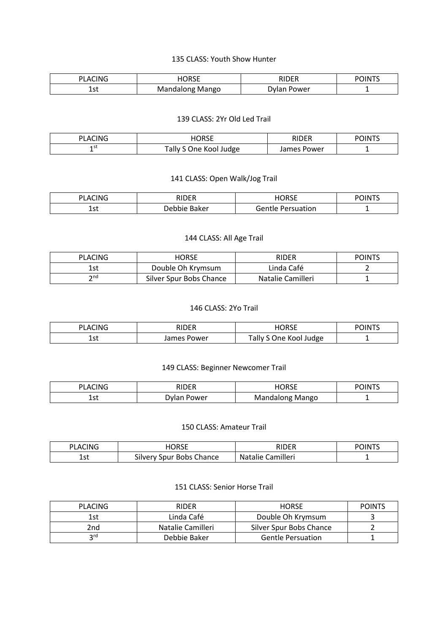#### 135 CLASS: Youth Show Hunter

| $\sim$<br>DI<br>'N<br>А | ,,,,<br>. J L | ,,,,,      | $\cdots$<br>חו |
|-------------------------|---------------|------------|----------------|
| 1 .L<br>، ت ۲<br>- -    | Mango<br>סחר  | 'ower<br>. | -              |

#### 139 CLASS: 2Yr Old Led Trail

| LACING<br>ומ | <b>IORSE</b>            | RIDER            | <b>POINT'</b> |
|--------------|-------------------------|------------------|---------------|
| 1 S L<br>    | Tally<br>One Kool Judge | . Power<br>James | -             |

## 141 CLASS: Open Walk/Jog Trail

| $\sim\cdot\cdot\cdot$<br>DI<br>Λ | <b>DIDED</b> | 10000<br>_____  | $ -$<br>IN<br>് ഗ |
|----------------------------------|--------------|-----------------|-------------------|
| 1 ~+<br>ᅩコし<br>__                | 3aker<br>.   | uation<br>م - ا | -                 |

# 144 CLASS: All Age Trail

| PLACING | HORSE                   | RIDER             | <b>POINTS</b> |
|---------|-------------------------|-------------------|---------------|
| 1st     | Double Oh Krymsum       | Linda Café        |               |
| ንnd     | Silver Spur Bobs Chance | Natalie Camilleri |               |

#### 146 CLASS: 2Yo Trail

| PLACING | RIDER | <b>IORSE</b><br>nurde | <b>POINTS</b> |
|---------|-------|-----------------------|---------------|
| 1 ~+    | ames  | $\mathsf{r}$ ally     |               |
| ᅩこし     | Power | One Kool Judge        |               |

## 149 CLASS: Beginner Newcomer Trail

| <b>ACING</b><br>PI At | RIDER  | ⊣∩R <f<br>н,<br/>∟טוי</f<br> | <b>POINTS</b> |
|-----------------------|--------|------------------------------|---------------|
| ร ~∔                  | , ower | Mango                        |               |
| ᅩコし                   | wan.   | Mandalong                    |               |

#### 150 CLASS: Amateur Trail

| 'LACING | HORSE                    | RIDER          | <b>POINT<sup>C</sup></b> |
|---------|--------------------------|----------------|--------------------------|
| 1 e t   | $\sim$                   | Camilleri      |                          |
| エンし     | Silvery Spur Bobs Chance | <b>Natalie</b> |                          |

## 151 CLASS: Senior Horse Trail

| <b>PLACING</b> | <b>RIDER</b>      | <b>HORSE</b>             | <b>POINTS</b> |
|----------------|-------------------|--------------------------|---------------|
| 1st            | Linda Café        | Double Oh Krymsum        |               |
| 2nd            | Natalie Camilleri | Silver Spur Bobs Chance  |               |
| ord            | Debbie Baker      | <b>Gentle Persuation</b> |               |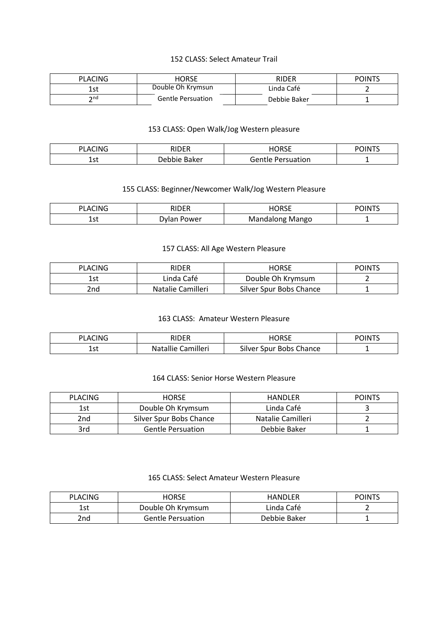#### 152 CLASS: Select Amateur Trail

| <b>PLACING</b> | HORSE                    | RIDER        | <b>POINTS</b> |
|----------------|--------------------------|--------------|---------------|
| l ct<br>エコし    | Double Oh Krymsun        | Linda Café   |               |
| つnd            | <b>Gentle Persuation</b> | Debbie Baker |               |

## 153 CLASS: Open Walk/Jog Western pleasure

| CING<br>ים<br>А<br>∼ | <b>RIDER</b><br>. | <b>HORSE</b> | <b>INTS</b> |
|----------------------|-------------------|--------------|-------------|
| 1.                   | .)ehhie           | Persuation   | -           |
| ᅩఎၬ                  | Baker             | Gentle       |             |

## 155 CLASS: Beginner/Newcomer Walk/Jog Western Pleasure

| CING<br>ומ<br>Λ<br><u>_</u> | <b>RIDER</b><br>. | I∩RSF<br>∟טושו           | <b>POINT'</b> |
|-----------------------------|-------------------|--------------------------|---------------|
| 1.4<br>ᅩఎเ                  | . Power<br>wan    | Mango<br>long.<br>Mandal | -             |

## 157 CLASS: All Age Western Pleasure

| <b>PLACING</b> | <b>RIDER</b>      | <b>HORSE</b>            | <b>POINTS</b> |
|----------------|-------------------|-------------------------|---------------|
| 1st            | Linda Café        | Double Oh Krymsum       |               |
| 2nd            | Natalie Camilleri | Silver Spur Bobs Chance |               |

#### 163 CLASS: Amateur Western Pleasure

| <b>PLACING</b> | <b>RIDER</b>       | HORSE                   | <b>POINTS</b> |
|----------------|--------------------|-------------------------|---------------|
| - 1<br>ᅩこし     | Natallie Camilleri | Silver Spur Bobs Chance |               |

#### 164 CLASS: Senior Horse Western Pleasure

| <b>PLACING</b> | <b>HORSE</b>             | HANDLER           | <b>POINTS</b> |
|----------------|--------------------------|-------------------|---------------|
| 1st            | Double Oh Krymsum        | Linda Café        |               |
| 2nd            | Silver Spur Bobs Chance  | Natalie Camilleri |               |
| 3rd            | <b>Gentle Persuation</b> | Debbie Baker      |               |

## 165 CLASS: Select Amateur Western Pleasure

| <b>PLACING</b> | <b>HORSE</b>             | <b>HANDLER</b> | <b>POINTS</b> |
|----------------|--------------------------|----------------|---------------|
| 1st            | Double Oh Krymsum        | Linda Café     |               |
| 2nd            | <b>Gentle Persuation</b> | Debbie Baker   |               |